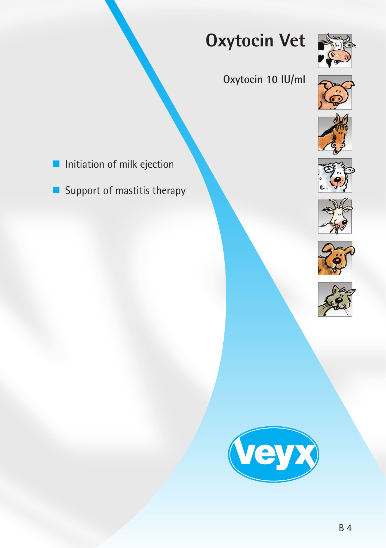# **Oxytocin Vet**



## **Oxytocin 10 IU/ml**





- $\blacksquare$  Initiation of milk ejection
- $\blacksquare$  Support of mastitis therapy









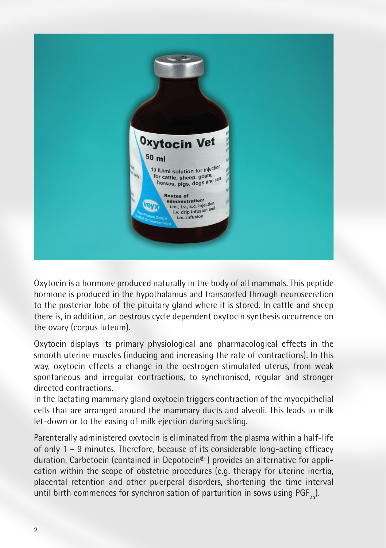

Oxytocin is a hormone produced naturally in the body of all mammals. This peptide hormone is produced in the hypothalamus and transported through neurosecretion to the posterior lobe of the pituitary gland where it is stored. In cattle and sheep there is, in addition, an oestrous cycle dependent oxytocin synthesis occurrence on the ovary (corpus luteum).

Oxytocin displays its primary physiological and pharmacological effects in the smooth uterine muscles (inducing and increasing the rate of contractions). In this way, oxytocin effects a change in the oestrogen stimulated uterus, from weak spontaneous and irregular contractions, to synchronised, regular and stronger directed contractions.

In the lactating mammary gland oxytocin triggers contraction of the myoepithelial cells that are arranged around the mammary ducts and alveoli. This leads to milk let-down or to the easing of milk ejection during suckling.

Parenterally administered oxytocin is eliminated from the plasma within a half-life of only 1 – 9 minutes. Therefore, because of its considerable long-acting efficacy duration, Carbetocin (contained in Depotocin® ) provides an alternative for application within the scope of obstetric procedures (e.g. therapy for uterine inertia, placental retention and other puerperal disorders, shortening the time interval until birth commences for synchronisation of parturition in sows using  $PGF_{2}$ ).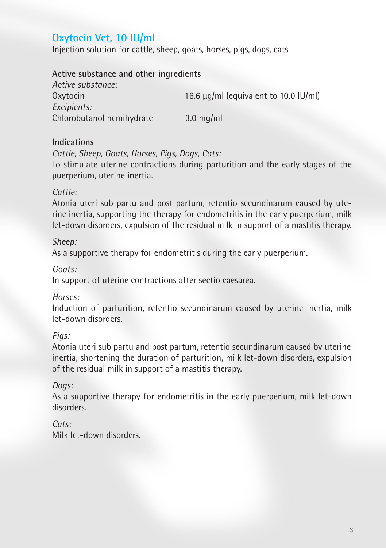### **Oxytocin Vet, 10 IU/ml**

Injection solution for cattle, sheep, goats, horses, pigs, dogs, cats

#### **Active substance and other ingredients**

| Active substance:         |                                            |
|---------------------------|--------------------------------------------|
| Oxytocin                  | 16.6 $\mu$ g/ml (equivalent to 10.0 IU/ml) |
| Excipients:               |                                            |
| Chlorobutanol hemihydrate | $3.0 \text{ mg/ml}$                        |

#### **Indications**

*Cattle, Sheep, Goats, Horses, Pigs, Dogs, Cats:*

To stimulate uterine contractions during parturition and the early stages of the puerperium, uterine inertia.

#### *Cattle:*

Atonia uteri sub partu and post partum, retentio secundinarum caused by uterine inertia, supporting the therapy for endometritis in the early puerperium, milk let-down disorders, expulsion of the residual milk in support of a mastitis therapy.

#### *Sheep:*

As a supportive therapy for endometritis during the early puerperium.

*Goats:* 

In support of uterine contractions after sectio caesarea.

#### *Horses:*

Induction of parturition, retentio secundinarum caused by uterine inertia, milk let-down disorders.

#### *Pigs:*

Atonia uteri sub partu and post partum, retentio secundinarum caused by uterine inertia, shortening the duration of parturition, milk let-down disorders, expulsion of the residual milk in support of a mastitis therapy.

#### *Dogs:*

As a supportive therapy for endometritis in the early puerperium, milk let-down disorders.

#### *Cats:*

Milk let-down disorders.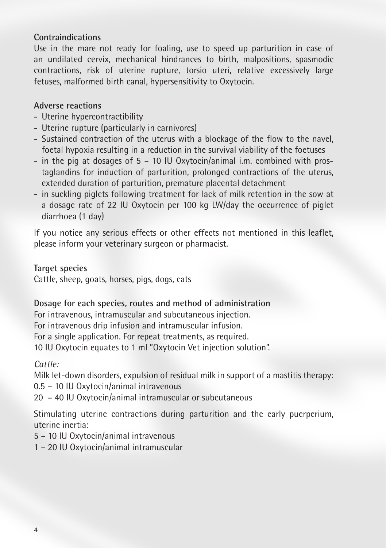#### **Contraindications**

Use in the mare not ready for foaling, use to speed up parturition in case of an undilated cervix, mechanical hindrances to birth, malpositions, spasmodic contractions, risk of uterine rupture, torsio uteri, relative excessively large fetuses, malformed birth canal, hypersensitivity to Oxytocin.

#### **Adverse reactions**

- Uterine hypercontractibility
- Uterine rupture (particularly in carnivores)
- Sustained contraction of the uterus with a blockage of the flow to the navel, foetal hypoxia resulting in a reduction in the survival viability of the foetuses
- in the pig at dosages of 5 10 IU Oxytocin/animal i.m. combined with prostaglandins for induction of parturition, prolonged contractions of the uterus, extended duration of parturition, premature placental detachment
- in suckling piglets following treatment for lack of milk retention in the sow at a dosage rate of 22 IU Oxytocin per 100 kg LW/day the occurrence of piglet diarrhoea (1 day)

If you notice any serious effects or other effects not mentioned in this leaflet, please inform your veterinary surgeon or pharmacist.

**Target species** 

Cattle, sheep, goats, horses, pigs, dogs, cats

#### **Dosage for each species, routes and method of administration**

For intravenous, intramuscular and subcutaneous injection. For intravenous drip infusion and intramuscular infusion. For a single application. For repeat treatments, as required. 10 IU Oxytocin equates to 1 ml "Oxytocin Vet injection solution".

*Cattle:* 

Milk let-down disorders, expulsion of residual milk in support of a mastitis therapy:

0.5 – 10 IU Oxytocin/animal intravenous

20 – 40 IU Oxytocin/animal intramuscular or subcutaneous

Stimulating uterine contractions during parturition and the early puerperium, uterine inertia:

5 – 10 IU Oxytocin/animal intravenous

1 – 20 IU Oxytocin/animal intramuscular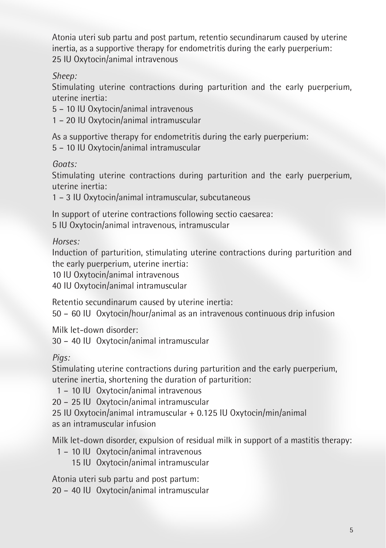Atonia uteri sub partu and post partum, retentio secundinarum caused by uterine inertia, as a supportive therapy for endometritis during the early puerperium: 25 IU Oxytocin/animal intravenous

*Sheep:* 

Stimulating uterine contractions during parturition and the early puerperium, uterine inertia:

5 – 10 IU Oxytocin/animal intravenous

1 – 20 IU Oxytocin/animal intramuscular

As a supportive therapy for endometritis during the early puerperium:

5 – 10 IU Oxytocin/animal intramuscular

*Goats:* 

Stimulating uterine contractions during parturition and the early puerperium, uterine inertia:

1 – 3 IU Oxytocin/animal intramuscular, subcutaneous

In support of uterine contractions following sectio caesarea: 5 IU Oxytocin/animal intravenous, intramuscular

*Horses:* 

Induction of parturition, stimulating uterine contractions during parturition and the early puerperium, uterine inertia:

10 IU Oxytocin/animal intravenous

40 IU Oxytocin/animal intramuscular

Retentio secundinarum caused by uterine inertia:

50 – 60 IU Oxytocin/hour/animal as an intravenous continuous drip infusion

Milk let-down disorder:

30 – 40 IU Oxytocin/animal intramuscular

*Pigs:* 

Stimulating uterine contractions during parturition and the early puerperium, uterine inertia, shortening the duration of parturition:

1 – 10 IU Oxytocin/animal intravenous

20 – 25 IU Oxytocin/animal intramuscular

25 IU Oxytocin/animal intramuscular + 0.125 IU Oxytocin/min/animal as an intramuscular infusion

Milk let-down disorder, expulsion of residual milk in support of a mastitis therapy:

- 1 10 IU Oxytocin/animal intravenous
	- 15 IU Oxytocin/animal intramuscular

Atonia uteri sub partu and post partum:

20 – 40 IU Oxytocin/animal intramuscular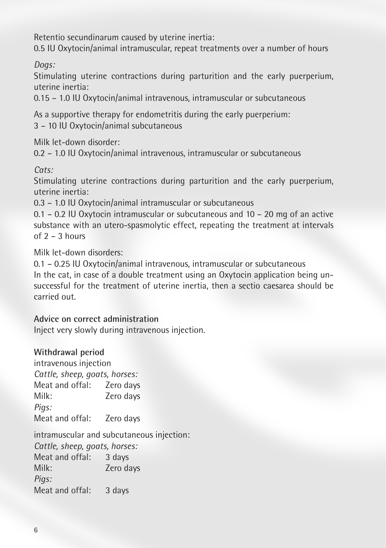Retentio secundinarum caused by uterine inertia:

0.5 IU Oxytocin/animal intramuscular, repeat treatments over a number of hours

*Dogs:*

Stimulating uterine contractions during parturition and the early puerperium, uterine inertia:

0.15 – 1.0 IU Oxytocin/animal intravenous, intramuscular or subcutaneous

As a supportive therapy for endometritis during the early puerperium: 3 – 10 IU Oxytocin/animal subcutaneous

Milk let-down disorder:

0.2 – 1.0 IU Oxytocin/animal intravenous, intramuscular or subcutaneous

*Cats:* 

Stimulating uterine contractions during parturition and the early puerperium, uterine inertia:

0.3 – 1.0 IU Oxytocin/animal intramuscular or subcutaneous

0.1 – 0.2 IU Oxytocin intramuscular or subcutaneous and 10 – 20 mg of an active substance with an utero-spasmolytic effect, repeating the treatment at intervals of  $2 - 3$  hours

Milk let-down disorders:

0.1 – 0.25 IU Oxytocin/animal intravenous, intramuscular or subcutaneous In the cat, in case of a double treatment using an Oxytocin application being unsuccessful for the treatment of uterine inertia, then a sectio caesarea should be carried out.

**Advice on correct administration** 

Inject very slowly during intravenous injection.

#### **Withdrawal period**

intravenous injection *Cattle, sheep, goats, horses:* Meat and offal: Zero days Milk: Zero days *Pigs:* Meat and offal: Zero days

intramuscular and subcutaneous injection:

*Cattle, sheep, goats, horses:* Meat and offal: 3 days

Milk: Zero days *Pigs:*

Meat and offal: 3 days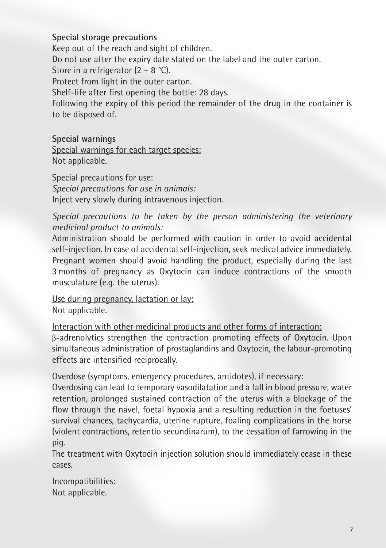#### **Special storage precautions**

Keep out of the reach and sight of children.

Do not use after the expiry date stated on the label and the outer carton.

Store in a refrigerator  $(2 - 8 \degree C)$ .

Protect from light in the outer carton.

Shelf-life after first opening the bottle: 28 days.

Following the expiry of this period the remainder of the drug in the container is to be disposed of.

#### **Special warnings**

Special warnings for each target species: Not applicable.

#### Special precautions for use:

*Special precautions for use in animals:* Inject very slowly during intravenous injection.

*Special precautions to be taken by the person administering the veterinary medicinal product to animals:*

Administration should be performed with caution in order to avoid accidental self-injection. In case of accidental self-injection, seek medical advice immediately. Pregnant women should avoid handling the product, especially during the last 3 months of pregnancy as Oxytocin can induce contractions of the smooth musculature (e.g. the uterus).

Use during pregnancy, lactation or lay: Not applicable.

Interaction with other medicinal products and other forms of interaction: β-adrenolytics strengthen the contraction promoting effects of Oxytocin. Upon simultaneous administration of prostaglandins and Oxytocin, the labour-promoting effects are intensified reciprocally.

#### Overdose (symptoms, emergency procedures, antidotes), if necessary:

Overdosing can lead to temporary vasodilatation and a fall in blood pressure, water retention, prolonged sustained contraction of the uterus with a blockage of the flow through the navel, foetal hypoxia and a resulting reduction in the foetuses' survival chances, tachycardia, uterine rupture, foaling complications in the horse (violent contractions, retentio secundinarum), to the cessation of farrowing in the pig.

The treatment with Oxytocin injection solution should immediately cease in these cases.

Incompatibilities: Not applicable.